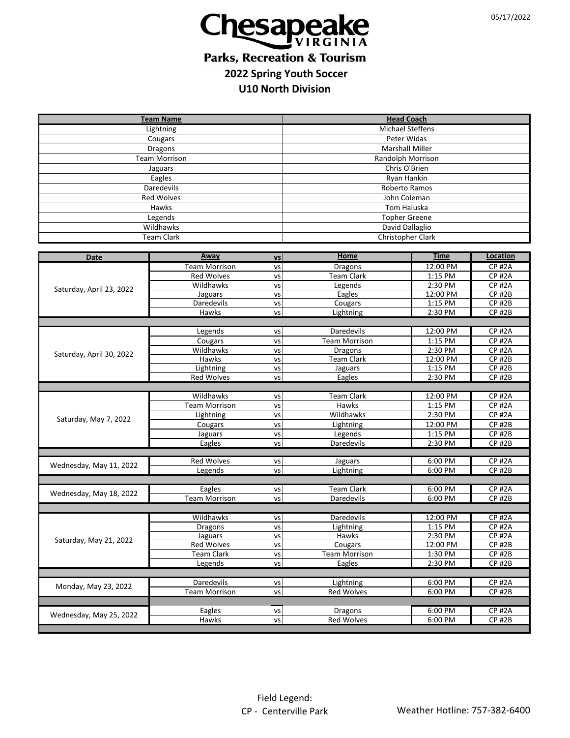

## **Parks, Recreation & Tourism 2022 Spring Youth Soccer U10 North Division**

| <b>Team Name</b>                              |                                    |               | <b>Head Coach</b>              |                    |                                |  |  |
|-----------------------------------------------|------------------------------------|---------------|--------------------------------|--------------------|--------------------------------|--|--|
| Lightning                                     |                                    |               | <b>Michael Steffens</b>        |                    |                                |  |  |
| Cougars                                       |                                    |               | Peter Widas                    |                    |                                |  |  |
| Dragons                                       |                                    |               | <b>Marshall Miller</b>         |                    |                                |  |  |
| <b>Team Morrison</b>                          |                                    |               | <b>Randolph Morrison</b>       |                    |                                |  |  |
| Jaguars                                       |                                    |               | Chris O'Brien                  |                    |                                |  |  |
| Eagles                                        |                                    |               | Ryan Hankin                    |                    |                                |  |  |
| Daredevils                                    |                                    |               | Roberto Ramos                  |                    |                                |  |  |
| Red Wolves                                    |                                    |               | John Coleman                   |                    |                                |  |  |
| Hawks                                         |                                    |               | Tom Haluska                    |                    |                                |  |  |
| Legends                                       |                                    |               | <b>Topher Greene</b>           |                    |                                |  |  |
| Wildhawks                                     |                                    |               | David Dallaglio                |                    |                                |  |  |
| <b>Team Clark</b>                             |                                    |               | Christopher Clark              |                    |                                |  |  |
|                                               |                                    |               |                                |                    |                                |  |  |
| Date                                          | Away                               | <b>VS</b>     | <b>Home</b>                    | <b>Time</b>        | Location                       |  |  |
|                                               | <b>Team Morrison</b>               | VS            | <b>Dragons</b>                 | 12:00 PM           | $CP$ #2A                       |  |  |
|                                               | <b>Red Wolves</b>                  | VS            | <b>Team Clark</b>              | 1:15 PM            | <b>CP #2A</b>                  |  |  |
| Saturday, April 23, 2022                      | Wildhawks                          | VS            | Legends                        | 2:30 PM            | <b>CP#2A</b>                   |  |  |
|                                               | Jaguars                            | VS            | Eagles                         | 12:00 PM           | <b>CP#2B</b>                   |  |  |
|                                               | Daredevils<br>Hawks                | VS<br>VS      | Cougars<br>Lightning           | 1:15 PM<br>2:30 PM | <b>CP #2B</b><br>$CP$ #2B      |  |  |
|                                               |                                    |               |                                |                    |                                |  |  |
|                                               | Legends                            | VS            | Daredevils                     | 12:00 PM           | <b>CP #2A</b>                  |  |  |
|                                               | Cougars                            | VS            | <b>Team Morrison</b>           | 1:15 PM            | <b>CP#2A</b>                   |  |  |
|                                               | Wildhawks                          | VS            | <b>Dragons</b>                 | 2:30 PM            | <b>CP #2A</b>                  |  |  |
| Saturday, April 30, 2022                      | Hawks                              | VS            | <b>Team Clark</b>              | 12:00 PM           | $CP$ #2 $B$                    |  |  |
|                                               | Lightning                          | VS            | Jaguars                        | 1:15 PM            | $CP$ #2B                       |  |  |
|                                               | <b>Red Wolves</b>                  | VS            | Eagles                         | 2:30 PM            | $CP$ #2 $B$                    |  |  |
|                                               |                                    |               |                                |                    |                                |  |  |
|                                               | Wildhawks                          | VS            | <b>Team Clark</b>              | 12:00 PM           | $CP$ #2A                       |  |  |
|                                               | <b>Team Morrison</b>               | VS            | Hawks                          | 1:15 PM            | <b>CP#2A</b>                   |  |  |
| Saturday, May 7, 2022                         | Lightning                          | VS            | Wildhawks                      | 2:30 PM            | <b>CP #2A</b>                  |  |  |
|                                               | Cougars                            | VS            | Lightning                      | 12:00 PM           | $CP$ #2B                       |  |  |
|                                               | Jaguars                            | VS            | Legends                        | 1:15 PM            | $CP$ #2 $B$                    |  |  |
|                                               | Eagles                             | VS            | <b>Daredevils</b>              | 2:30 PM            | <b>CP #2B</b>                  |  |  |
| <b>Red Wolves</b><br>6:00 PM<br>VS<br>Jaguars |                                    |               |                                |                    |                                |  |  |
| Wednesday, May 11, 2022                       | Legends                            | VS            | Lightning                      | 6:00 PM            | <b>CP #2A</b><br><b>CP #2B</b> |  |  |
|                                               |                                    |               |                                |                    |                                |  |  |
|                                               | Eagles                             | VS            | <b>Team Clark</b>              | 6:00 PM            | <b>CP #2A</b>                  |  |  |
| Wednesday, May 18, 2022                       | <b>Team Morrison</b>               | VS            | Daredevils                     | 6:00 PM            | $CP$ #2 $B$                    |  |  |
|                                               |                                    |               |                                |                    |                                |  |  |
|                                               | Wildhawks                          | VS            | Daredevils                     | 12:00 PM           | <b>CP #2A</b>                  |  |  |
| Saturday, May 21, 2022                        | <b>Dragons</b>                     | <b>VS</b>     | Lightning                      | 1:15 PM            | <b>CP #2A</b>                  |  |  |
|                                               | Jaguars                            | VS            | Hawks                          | 2:30 PM            | <b>CP #2A</b>                  |  |  |
|                                               | <b>Red Wolves</b>                  | VS            | Cougars                        | 12:00 PM           | $CP$ #2 $B$                    |  |  |
|                                               | <b>Team Clark</b>                  | vs            | <b>Team Morrison</b>           | 1:30 PM            | <b>CP #2B</b>                  |  |  |
|                                               | Legends                            | VS            | Eagles                         | 2:30 PM            | $CP$ #2B                       |  |  |
| 6:00 PM                                       |                                    |               |                                |                    |                                |  |  |
| Monday, May 23, 2022                          | Daredevils<br><b>Team Morrison</b> | vs            | Lightning<br><b>Red Wolves</b> |                    | <b>CP #2A</b>                  |  |  |
|                                               |                                    | <b>VS</b>     |                                | 6:00 PM            | $CP$ #2B                       |  |  |
| Wednesday, May 25, 2022                       | Eagles                             | VS            | Dragons                        | 6:00 PM            | <b>CP#2A</b>                   |  |  |
|                                               | Hawks                              | $\mathsf{VS}$ | Red Wolves                     | 6:00 PM            | $CP$ #2B                       |  |  |
|                                               |                                    |               |                                |                    |                                |  |  |